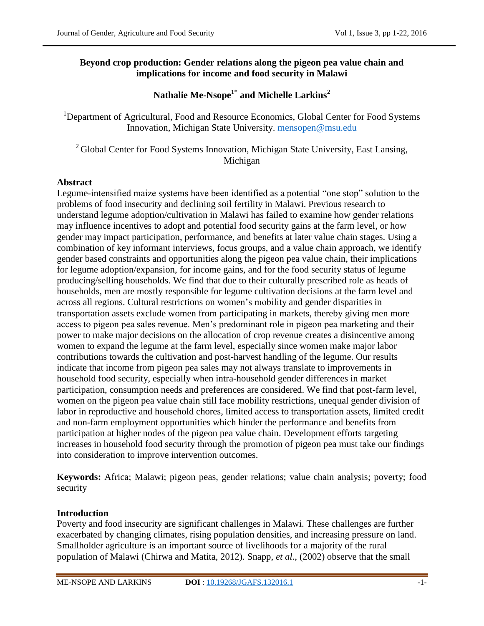## **Beyond crop production: Gender relations along the pigeon pea value chain and implications for income and food security in Malawi**

# **Nathalie Me-Nsope1\* and Michelle Larkins<sup>2</sup>**

<sup>1</sup>Department of Agricultural, Food and Resource Economics, Global Center for Food Systems Innovation, Michigan State University. [mensopen@msu.edu](mailto:mensopen@msu.edu)

 $2$ Global Center for Food Systems Innovation, Michigan State University, East Lansing, Michigan

## **Abstract**

Legume-intensified maize systems have been identified as a potential "one stop" solution to the problems of food insecurity and declining soil fertility in Malawi. Previous research to understand legume adoption/cultivation in Malawi has failed to examine how gender relations may influence incentives to adopt and potential food security gains at the farm level, or how gender may impact participation, performance, and benefits at later value chain stages. Using a combination of key informant interviews, focus groups, and a value chain approach, we identify gender based constraints and opportunities along the pigeon pea value chain, their implications for legume adoption/expansion, for income gains, and for the food security status of legume producing/selling households. We find that due to their culturally prescribed role as heads of households, men are mostly responsible for legume cultivation decisions at the farm level and across all regions. Cultural restrictions on women's mobility and gender disparities in transportation assets exclude women from participating in markets, thereby giving men more access to pigeon pea sales revenue. Men's predominant role in pigeon pea marketing and their power to make major decisions on the allocation of crop revenue creates a disincentive among women to expand the legume at the farm level, especially since women make major labor contributions towards the cultivation and post-harvest handling of the legume. Our results indicate that income from pigeon pea sales may not always translate to improvements in household food security, especially when intra-household gender differences in market participation, consumption needs and preferences are considered. We find that post-farm level, women on the pigeon pea value chain still face mobility restrictions, unequal gender division of labor in reproductive and household chores, limited access to transportation assets, limited credit and non-farm employment opportunities which hinder the performance and benefits from participation at higher nodes of the pigeon pea value chain. Development efforts targeting increases in household food security through the promotion of pigeon pea must take our findings into consideration to improve intervention outcomes.

**Keywords:** Africa; Malawi; pigeon peas, gender relations; value chain analysis; poverty; food security

## **Introduction**

Poverty and food insecurity are significant challenges in Malawi. These challenges are further exacerbated by changing climates, rising population densities, and increasing pressure on land. Smallholder agriculture is an important source of livelihoods for a majority of the rural population of Malawi (Chirwa and Matita, 2012). Snapp, *et al*., (2002) observe that the small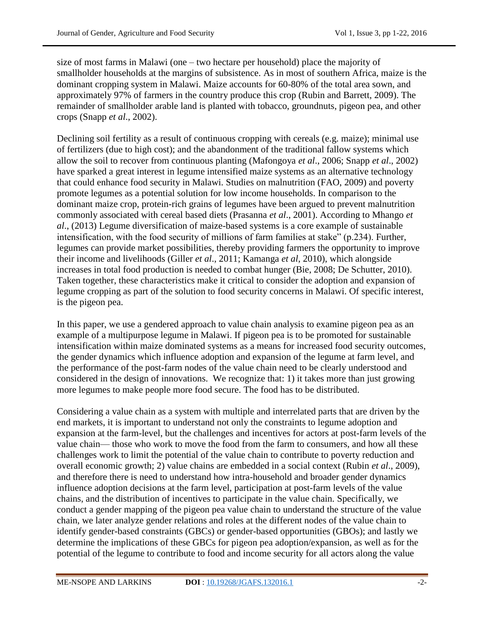size of most farms in Malawi (one – two hectare per household) place the majority of smallholder households at the margins of subsistence. As in most of southern Africa, maize is the dominant cropping system in Malawi. Maize accounts for 60-80% of the total area sown, and approximately 97% of farmers in the country produce this crop (Rubin and Barrett, 2009). The remainder of smallholder arable land is planted with tobacco, groundnuts, pigeon pea, and other crops (Snapp *et al*., 2002).

Declining soil fertility as a result of continuous cropping with cereals (e.g. maize); minimal use of fertilizers (due to high cost); and the abandonment of the traditional fallow systems which allow the soil to recover from continuous planting (Mafongoya *et al*., 2006; Snapp *et al*., 2002) have sparked a great interest in legume intensified maize systems as an alternative technology that could enhance food security in Malawi. Studies on malnutrition (FAO, 2009) and poverty promote legumes as a potential solution for low income households. In comparison to the dominant maize crop, protein-rich grains of legumes have been argued to prevent malnutrition commonly associated with cereal based diets (Prasanna *et al*., 2001). According to Mhango *et al*., (2013) Legume diversification of maize-based systems is a core example of sustainable intensification, with the food security of millions of farm families at stake" (p.234). Further, legumes can provide market possibilities, thereby providing farmers the opportunity to improve their income and livelihoods (Giller *et al*., 2011; Kamanga *et al*, 2010), which alongside increases in total food production is needed to combat hunger (Bie, 2008; De Schutter, 2010). Taken together, these characteristics make it critical to consider the adoption and expansion of legume cropping as part of the solution to food security concerns in Malawi. Of specific interest, is the pigeon pea.

In this paper, we use a gendered approach to value chain analysis to examine pigeon pea as an example of a multipurpose legume in Malawi. If pigeon pea is to be promoted for sustainable intensification within maize dominated systems as a means for increased food security outcomes, the gender dynamics which influence adoption and expansion of the legume at farm level, and the performance of the post-farm nodes of the value chain need to be clearly understood and considered in the design of innovations. We recognize that: 1) it takes more than just growing more legumes to make people more food secure. The food has to be distributed.

Considering a value chain as a system with multiple and interrelated parts that are driven by the end markets, it is important to understand not only the constraints to legume adoption and expansion at the farm-level, but the challenges and incentives for actors at post-farm levels of the value chain— those who work to move the food from the farm to consumers, and how all these challenges work to limit the potential of the value chain to contribute to poverty reduction and overall economic growth; 2) value chains are embedded in a social context (Rubin *et al*., 2009), and therefore there is need to understand how intra-household and broader gender dynamics influence adoption decisions at the farm level, participation at post-farm levels of the value chains, and the distribution of incentives to participate in the value chain. Specifically, we conduct a gender mapping of the pigeon pea value chain to understand the structure of the value chain, we later analyze gender relations and roles at the different nodes of the value chain to identify gender-based constraints (GBCs) or gender-based opportunities (GBOs); and lastly we determine the implications of these GBCs for pigeon pea adoption/expansion, as well as for the potential of the legume to contribute to food and income security for all actors along the value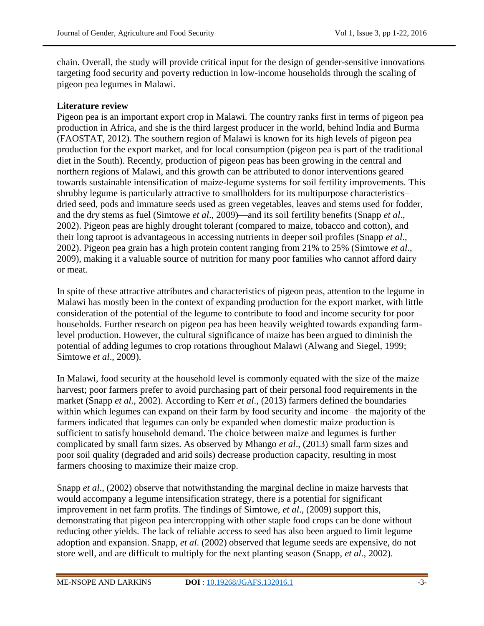chain. Overall, the study will provide critical input for the design of gender-sensitive innovations targeting food security and poverty reduction in low-income households through the scaling of pigeon pea legumes in Malawi.

# **Literature review**

Pigeon pea is an important export crop in Malawi. The country ranks first in terms of pigeon pea production in Africa, and she is the third largest producer in the world, behind India and Burma (FAOSTAT, 2012). The southern region of Malawi is known for its high levels of pigeon pea production for the export market, and for local consumption (pigeon pea is part of the traditional diet in the South). Recently, production of pigeon peas has been growing in the central and northern regions of Malawi, and this growth can be attributed to donor interventions geared towards sustainable intensification of maize-legume systems for soil fertility improvements. This shrubby legume is particularly attractive to smallholders for its multipurpose characteristics– dried seed, pods and immature seeds used as green vegetables, leaves and stems used for fodder, and the dry stems as fuel (Simtowe *et al*., 2009)—and its soil fertility benefits (Snapp *et al*., 2002). Pigeon peas are highly drought tolerant (compared to maize, tobacco and cotton), and their long taproot is advantageous in accessing nutrients in deeper soil profiles (Snapp *et al*., 2002). Pigeon pea grain has a high protein content ranging from 21% to 25% (Simtowe *et al*., 2009), making it a valuable source of nutrition for many poor families who cannot afford dairy or meat.

In spite of these attractive attributes and characteristics of pigeon peas, attention to the legume in Malawi has mostly been in the context of expanding production for the export market, with little consideration of the potential of the legume to contribute to food and income security for poor households. Further research on pigeon pea has been heavily weighted towards expanding farmlevel production. However, the cultural significance of maize has been argued to diminish the potential of adding legumes to crop rotations throughout Malawi (Alwang and Siegel, 1999; Simtowe *et al*., 2009).

In Malawi, food security at the household level is commonly equated with the size of the maize harvest; poor farmers prefer to avoid purchasing part of their personal food requirements in the market (Snapp *et al*., 2002). According to Kerr *et al*., (2013) farmers defined the boundaries within which legumes can expand on their farm by food security and income –the majority of the farmers indicated that legumes can only be expanded when domestic maize production is sufficient to satisfy household demand. The choice between maize and legumes is further complicated by small farm sizes. As observed by Mhango *et al*., (2013) small farm sizes and poor soil quality (degraded and arid soils) decrease production capacity, resulting in most farmers choosing to maximize their maize crop.

Snapp *et al*., (2002) observe that notwithstanding the marginal decline in maize harvests that would accompany a legume intensification strategy, there is a potential for significant improvement in net farm profits. The findings of Simtowe, *et al*., (2009) support this, demonstrating that pigeon pea intercropping with other staple food crops can be done without reducing other yields. The lack of reliable access to seed has also been argued to limit legume adoption and expansion. Snapp, *et al*. (2002) observed that legume seeds are expensive, do not store well, and are difficult to multiply for the next planting season (Snapp, *et al*., 2002).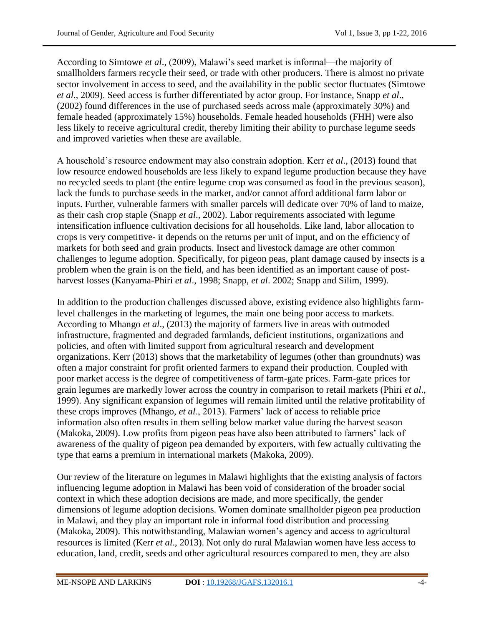According to Simtowe *et al*., (2009), Malawi's seed market is informal—the majority of smallholders farmers recycle their seed, or trade with other producers. There is almost no private sector involvement in access to seed, and the availability in the public sector fluctuates (Simtowe *et al*., 2009). Seed access is further differentiated by actor group. For instance, Snapp *et al*., (2002) found differences in the use of purchased seeds across male (approximately 30%) and female headed (approximately 15%) households. Female headed households (FHH) were also less likely to receive agricultural credit, thereby limiting their ability to purchase legume seeds and improved varieties when these are available.

A household's resource endowment may also constrain adoption. Kerr *et al*., (2013) found that low resource endowed households are less likely to expand legume production because they have no recycled seeds to plant (the entire legume crop was consumed as food in the previous season), lack the funds to purchase seeds in the market, and/or cannot afford additional farm labor or inputs. Further, vulnerable farmers with smaller parcels will dedicate over 70% of land to maize, as their cash crop staple (Snapp *et al*., 2002). Labor requirements associated with legume intensification influence cultivation decisions for all households. Like land, labor allocation to crops is very competitive- it depends on the returns per unit of input, and on the efficiency of markets for both seed and grain products. Insect and livestock damage are other common challenges to legume adoption. Specifically, for pigeon peas, plant damage caused by insects is a problem when the grain is on the field, and has been identified as an important cause of postharvest losses (Kanyama-Phiri *et al*., 1998; Snapp, *et al*. 2002; Snapp and Silim, 1999).

In addition to the production challenges discussed above, existing evidence also highlights farmlevel challenges in the marketing of legumes, the main one being poor access to markets. According to Mhango *et al*., (2013) the majority of farmers live in areas with outmoded infrastructure, fragmented and degraded farmlands, deficient institutions, organizations and policies, and often with limited support from agricultural research and development organizations. Kerr (2013) shows that the marketability of legumes (other than groundnuts) was often a major constraint for profit oriented farmers to expand their production. Coupled with poor market access is the degree of competitiveness of farm-gate prices. Farm-gate prices for grain legumes are markedly lower across the country in comparison to retail markets (Phiri *et al*., 1999). Any significant expansion of legumes will remain limited until the relative profitability of these crops improves (Mhango, *et al*., 2013). Farmers' lack of access to reliable price information also often results in them selling below market value during the harvest season (Makoka, 2009). Low profits from pigeon peas have also been attributed to farmers' lack of awareness of the quality of pigeon pea demanded by exporters, with few actually cultivating the type that earns a premium in international markets (Makoka, 2009).

Our review of the literature on legumes in Malawi highlights that the existing analysis of factors influencing legume adoption in Malawi has been void of consideration of the broader social context in which these adoption decisions are made, and more specifically, the gender dimensions of legume adoption decisions. Women dominate smallholder pigeon pea production in Malawi, and they play an important role in informal food distribution and processing (Makoka, 2009). This notwithstanding, Malawian women's agency and access to agricultural resources is limited (Kerr *et al*., 2013). Not only do rural Malawian women have less access to education, land, credit, seeds and other agricultural resources compared to men, they are also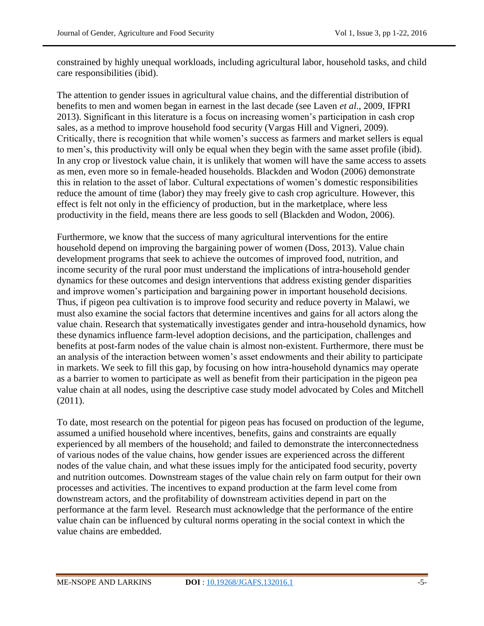constrained by highly unequal workloads, including agricultural labor, household tasks, and child care responsibilities (ibid).

The attention to gender issues in agricultural value chains, and the differential distribution of benefits to men and women began in earnest in the last decade (see Laven *et al*., 2009, IFPRI 2013). Significant in this literature is a focus on increasing women's participation in cash crop sales, as a method to improve household food security (Vargas Hill and Vigneri, 2009). Critically, there is recognition that while women's success as farmers and market sellers is equal to men's, this productivity will only be equal when they begin with the same asset profile (ibid). In any crop or livestock value chain, it is unlikely that women will have the same access to assets as men, even more so in female-headed households. Blackden and Wodon (2006) demonstrate this in relation to the asset of labor. Cultural expectations of women's domestic responsibilities reduce the amount of time (labor) they may freely give to cash crop agriculture. However, this effect is felt not only in the efficiency of production, but in the marketplace, where less productivity in the field, means there are less goods to sell (Blackden and Wodon, 2006).

Furthermore, we know that the success of many agricultural interventions for the entire household depend on improving the bargaining power of women (Doss, 2013). Value chain development programs that seek to achieve the outcomes of improved food, nutrition, and income security of the rural poor must understand the implications of intra-household gender dynamics for these outcomes and design interventions that address existing gender disparities and improve women's participation and bargaining power in important household decisions. Thus, if pigeon pea cultivation is to improve food security and reduce poverty in Malawi, we must also examine the social factors that determine incentives and gains for all actors along the value chain. Research that systematically investigates gender and intra-household dynamics, how these dynamics influence farm-level adoption decisions, and the participation, challenges and benefits at post-farm nodes of the value chain is almost non-existent. Furthermore, there must be an analysis of the interaction between women's asset endowments and their ability to participate in markets. We seek to fill this gap, by focusing on how intra-household dynamics may operate as a barrier to women to participate as well as benefit from their participation in the pigeon pea value chain at all nodes, using the descriptive case study model advocated by Coles and Mitchell (2011).

To date, most research on the potential for pigeon peas has focused on production of the legume, assumed a unified household where incentives, benefits, gains and constraints are equally experienced by all members of the household; and failed to demonstrate the interconnectedness of various nodes of the value chains, how gender issues are experienced across the different nodes of the value chain, and what these issues imply for the anticipated food security, poverty and nutrition outcomes. Downstream stages of the value chain rely on farm output for their own processes and activities. The incentives to expand production at the farm level come from downstream actors, and the profitability of downstream activities depend in part on the performance at the farm level. Research must acknowledge that the performance of the entire value chain can be influenced by cultural norms operating in the social context in which the value chains are embedded.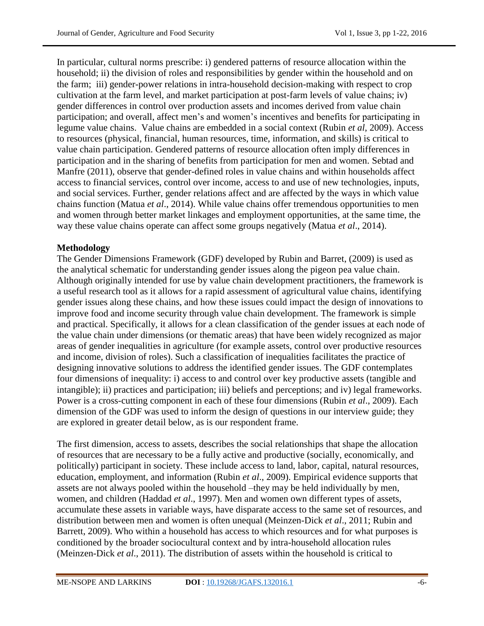In particular, cultural norms prescribe: i) gendered patterns of resource allocation within the household; ii) the division of roles and responsibilities by gender within the household and on the farm; iii) gender-power relations in intra-household decision-making with respect to crop cultivation at the farm level, and market participation at post-farm levels of value chains; iv) gender differences in control over production assets and incomes derived from value chain participation; and overall, affect men's and women's incentives and benefits for participating in legume value chains. Value chains are embedded in a social context (Rubin *et al*, 2009). Access to resources (physical, financial, human resources, time, information, and skills) is critical to value chain participation. Gendered patterns of resource allocation often imply differences in participation and in the sharing of benefits from participation for men and women. Sebtad and Manfre (2011), observe that gender-defined roles in value chains and within households affect access to financial services, control over income, access to and use of new technologies, inputs, and social services. Further, gender relations affect and are affected by the ways in which value chains function (Matua *et al*., 2014). While value chains offer tremendous opportunities to men and women through better market linkages and employment opportunities, at the same time, the way these value chains operate can affect some groups negatively (Matua *et al*., 2014).

# **Methodology**

The Gender Dimensions Framework (GDF) developed by Rubin and Barret, (2009) is used as the analytical schematic for understanding gender issues along the pigeon pea value chain. Although originally intended for use by value chain development practitioners, the framework is a useful research tool as it allows for a rapid assessment of agricultural value chains, identifying gender issues along these chains, and how these issues could impact the design of innovations to improve food and income security through value chain development. The framework is simple and practical. Specifically, it allows for a clean classification of the gender issues at each node of the value chain under dimensions (or thematic areas) that have been widely recognized as major areas of gender inequalities in agriculture (for example assets, control over productive resources and income, division of roles). Such a classification of inequalities facilitates the practice of designing innovative solutions to address the identified gender issues. The GDF contemplates four dimensions of inequality: i) access to and control over key productive assets (tangible and intangible); ii) practices and participation; iii) beliefs and perceptions; and iv) legal frameworks. Power is a cross-cutting component in each of these four dimensions (Rubin *et al*., 2009). Each dimension of the GDF was used to inform the design of questions in our interview guide; they are explored in greater detail below, as is our respondent frame.

The first dimension, access to assets, describes the social relationships that shape the allocation of resources that are necessary to be a fully active and productive (socially, economically, and politically) participant in society. These include access to land, labor, capital, natural resources, education, employment, and information (Rubin *et al*., 2009). Empirical evidence supports that assets are not always pooled within the household –they may be held individually by men, women, and children (Haddad *et al*., 1997). Men and women own different types of assets, accumulate these assets in variable ways, have disparate access to the same set of resources, and distribution between men and women is often unequal (Meinzen-Dick *et al*., 2011; Rubin and Barrett, 2009). Who within a household has access to which resources and for what purposes is conditioned by the broader sociocultural context and by intra-household allocation rules (Meinzen-Dick *et al*., 2011). The distribution of assets within the household is critical to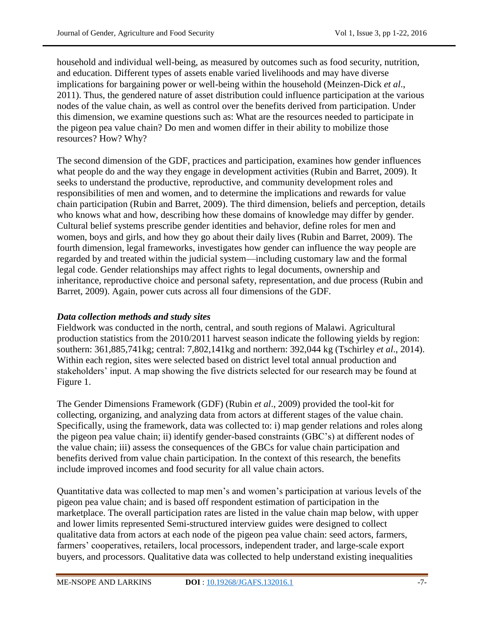household and individual well-being, as measured by outcomes such as food security, nutrition, and education. Different types of assets enable varied livelihoods and may have diverse implications for bargaining power or well-being within the household (Meinzen-Dick *et al*., 2011). Thus, the gendered nature of asset distribution could influence participation at the various nodes of the value chain, as well as control over the benefits derived from participation. Under this dimension, we examine questions such as: What are the resources needed to participate in the pigeon pea value chain? Do men and women differ in their ability to mobilize those resources? How? Why?

The second dimension of the GDF, practices and participation, examines how gender influences what people do and the way they engage in development activities (Rubin and Barret, 2009). It seeks to understand the productive, reproductive, and community development roles and responsibilities of men and women, and to determine the implications and rewards for value chain participation (Rubin and Barret, 2009). The third dimension, beliefs and perception, details who knows what and how, describing how these domains of knowledge may differ by gender. Cultural belief systems prescribe gender identities and behavior, define roles for men and women, boys and girls, and how they go about their daily lives (Rubin and Barret, 2009). The fourth dimension, legal frameworks, investigates how gender can influence the way people are regarded by and treated within the judicial system—including customary law and the formal legal code. Gender relationships may affect rights to legal documents, ownership and inheritance, reproductive choice and personal safety, representation, and due process (Rubin and Barret, 2009). Again, power cuts across all four dimensions of the GDF.

# *Data collection methods and study sites*

Fieldwork was conducted in the north, central, and south regions of Malawi. Agricultural production statistics from the 2010/2011 harvest season indicate the following yields by region: southern: 361,885,741kg; central: 7,802,141kg and northern: 392,044 kg (Tschirley *et al*., 2014). Within each region, sites were selected based on district level total annual production and stakeholders' input. A map showing the five districts selected for our research may be found at Figure 1.

The Gender Dimensions Framework (GDF) (Rubin *et al*., 2009) provided the tool-kit for collecting, organizing, and analyzing data from actors at different stages of the value chain. Specifically, using the framework, data was collected to: i) map gender relations and roles along the pigeon pea value chain; ii) identify gender-based constraints (GBC's) at different nodes of the value chain; iii) assess the consequences of the GBCs for value chain participation and benefits derived from value chain participation. In the context of this research, the benefits include improved incomes and food security for all value chain actors.

Quantitative data was collected to map men's and women's participation at various levels of the pigeon pea value chain; and is based off respondent estimation of participation in the marketplace. The overall participation rates are listed in the value chain map below, with upper and lower limits represented Semi-structured interview guides were designed to collect qualitative data from actors at each node of the pigeon pea value chain: seed actors, farmers, farmers' cooperatives, retailers, local processors, independent trader, and large-scale export buyers, and processors. Qualitative data was collected to help understand existing inequalities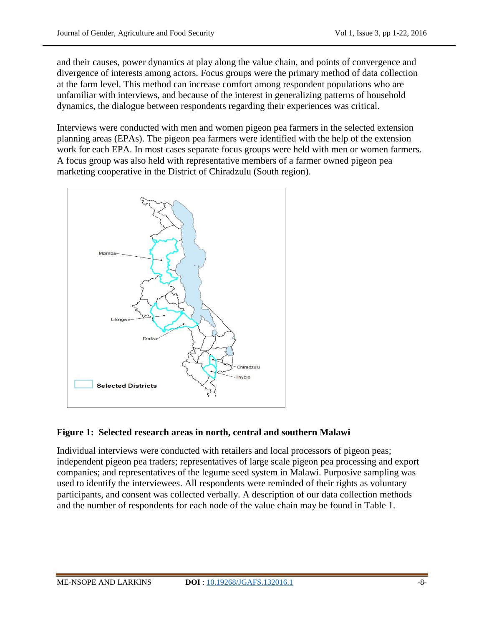and their causes, power dynamics at play along the value chain, and points of convergence and divergence of interests among actors. Focus groups were the primary method of data collection at the farm level. This method can increase comfort among respondent populations who are unfamiliar with interviews, and because of the interest in generalizing patterns of household dynamics, the dialogue between respondents regarding their experiences was critical.

Interviews were conducted with men and women pigeon pea farmers in the selected extension planning areas (EPAs). The pigeon pea farmers were identified with the help of the extension work for each EPA. In most cases separate focus groups were held with men or women farmers. A focus group was also held with representative members of a farmer owned pigeon pea marketing cooperative in the District of Chiradzulu (South region).



## **Figure 1: Selected research areas in north, central and southern Malawi**

Individual interviews were conducted with retailers and local processors of pigeon peas; independent pigeon pea traders; representatives of large scale pigeon pea processing and export companies; and representatives of the legume seed system in Malawi. Purposive sampling was used to identify the interviewees. All respondents were reminded of their rights as voluntary participants, and consent was collected verbally. A description of our data collection methods and the number of respondents for each node of the value chain may be found in Table 1.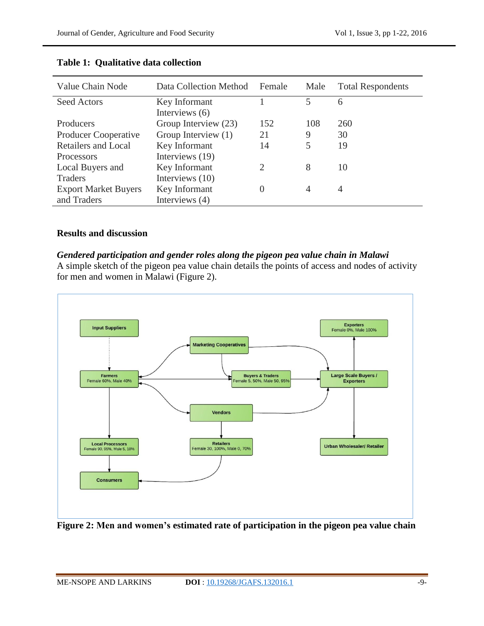| Value Chain Node            | Data Collection Method | Female                      | Male | <b>Total Respondents</b> |
|-----------------------------|------------------------|-----------------------------|------|--------------------------|
| <b>Seed Actors</b>          | Key Informant          |                             | 5    | 6                        |
|                             | Interviews (6)         |                             |      |                          |
| Producers                   | Group Interview (23)   | 152                         | 108  | 260                      |
| <b>Producer Cooperative</b> | Group Interview (1)    | 21                          | 9    | 30                       |
| <b>Retailers and Local</b>  | Key Informant          | 14                          | 5    | 19                       |
| <b>Processors</b>           | Interviews (19)        |                             |      |                          |
| Local Buyers and            | Key Informant          | $\mathcal{D}_{\mathcal{L}}$ | 8    | 10                       |
| <b>Traders</b>              | Interviews (10)        |                             |      |                          |
| <b>Export Market Buyers</b> | Key Informant          | $\theta$                    | 4    | 4                        |
| and Traders                 | Interviews (4)         |                             |      |                          |

## **Table 1: Qualitative data collection**

## **Results and discussion**

## *Gendered participation and gender roles along the pigeon pea value chain in Malawi*

A simple sketch of the pigeon pea value chain details the points of access and nodes of activity for men and women in Malawi (Figure 2).



**Figure 2: Men and women's estimated rate of participation in the pigeon pea value chain**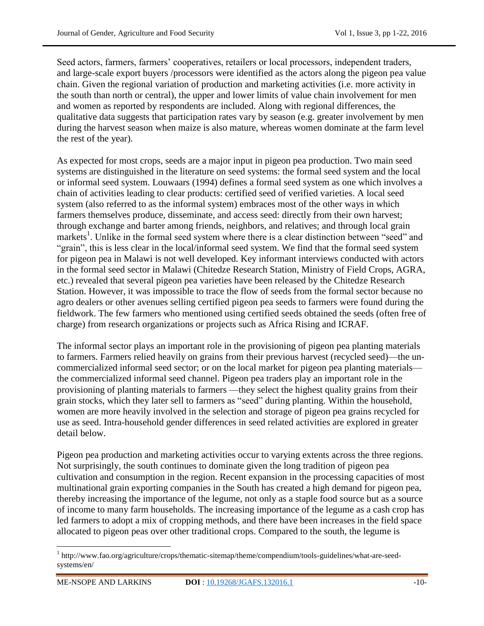Seed actors, farmers, farmers' cooperatives, retailers or local processors, independent traders, and large-scale export buyers /processors were identified as the actors along the pigeon pea value chain. Given the regional variation of production and marketing activities (i.e. more activity in the south than north or central), the upper and lower limits of value chain involvement for men and women as reported by respondents are included. Along with regional differences, the qualitative data suggests that participation rates vary by season (e.g. greater involvement by men during the harvest season when maize is also mature, whereas women dominate at the farm level the rest of the year).

As expected for most crops, seeds are a major input in pigeon pea production. Two main seed systems are distinguished in the literature on seed systems: the formal seed system and the local or informal seed system. Louwaars (1994) defines a formal seed system as one which involves a chain of activities leading to clear products: certified seed of verified varieties. A local seed system (also referred to as the informal system) embraces most of the other ways in which farmers themselves produce, disseminate, and access seed: directly from their own harvest; through exchange and barter among friends, neighbors, and relatives; and through local grain markets<sup>1</sup>. Unlike in the formal seed system where there is a clear distinction between "seed" and "grain", this is less clear in the local/informal seed system. We find that the formal seed system for pigeon pea in Malawi is not well developed. Key informant interviews conducted with actors in the formal seed sector in Malawi (Chitedze Research Station, Ministry of Field Crops, AGRA, etc.) revealed that several pigeon pea varieties have been released by the Chitedze Research Station. However, it was impossible to trace the flow of seeds from the formal sector because no agro dealers or other avenues selling certified pigeon pea seeds to farmers were found during the fieldwork. The few farmers who mentioned using certified seeds obtained the seeds (often free of charge) from research organizations or projects such as Africa Rising and ICRAF.

The informal sector plays an important role in the provisioning of pigeon pea planting materials to farmers. Farmers relied heavily on grains from their previous harvest (recycled seed)—the uncommercialized informal seed sector; or on the local market for pigeon pea planting materials the commercialized informal seed channel. Pigeon pea traders play an important role in the provisioning of planting materials to farmers —they select the highest quality grains from their grain stocks, which they later sell to farmers as "seed" during planting. Within the household, women are more heavily involved in the selection and storage of pigeon pea grains recycled for use as seed. Intra-household gender differences in seed related activities are explored in greater detail below.

Pigeon pea production and marketing activities occur to varying extents across the three regions. Not surprisingly, the south continues to dominate given the long tradition of pigeon pea cultivation and consumption in the region. Recent expansion in the processing capacities of most multinational grain exporting companies in the South has created a high demand for pigeon pea, thereby increasing the importance of the legume, not only as a staple food source but as a source of income to many farm households. The increasing importance of the legume as a cash crop has led farmers to adopt a mix of cropping methods, and there have been increases in the field space allocated to pigeon peas over other traditional crops. Compared to the south, the legume is

 $\overline{a}$ 

<sup>&</sup>lt;sup>1</sup> http://www.fao.org/agriculture/crops/thematic-sitemap/theme/compendium/tools-guidelines/what-are-seedsystems/en/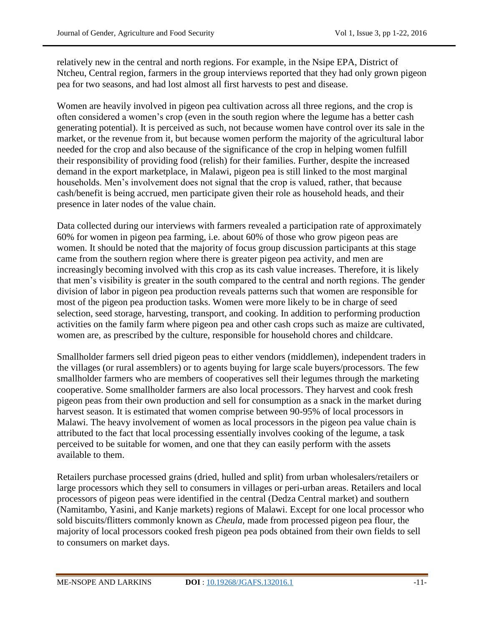relatively new in the central and north regions. For example, in the Nsipe EPA, District of Ntcheu, Central region, farmers in the group interviews reported that they had only grown pigeon pea for two seasons, and had lost almost all first harvests to pest and disease.

Women are heavily involved in pigeon pea cultivation across all three regions, and the crop is often considered a women's crop (even in the south region where the legume has a better cash generating potential). It is perceived as such, not because women have control over its sale in the market, or the revenue from it, but because women perform the majority of the agricultural labor needed for the crop and also because of the significance of the crop in helping women fulfill their responsibility of providing food (relish) for their families. Further, despite the increased demand in the export marketplace, in Malawi, pigeon pea is still linked to the most marginal households. Men's involvement does not signal that the crop is valued, rather, that because cash/benefit is being accrued, men participate given their role as household heads, and their presence in later nodes of the value chain.

Data collected during our interviews with farmers revealed a participation rate of approximately 60% for women in pigeon pea farming, i.e. about 60% of those who grow pigeon peas are women. It should be noted that the majority of focus group discussion participants at this stage came from the southern region where there is greater pigeon pea activity, and men are increasingly becoming involved with this crop as its cash value increases. Therefore, it is likely that men's visibility is greater in the south compared to the central and north regions. The gender division of labor in pigeon pea production reveals patterns such that women are responsible for most of the pigeon pea production tasks. Women were more likely to be in charge of seed selection, seed storage, harvesting, transport, and cooking. In addition to performing production activities on the family farm where pigeon pea and other cash crops such as maize are cultivated, women are, as prescribed by the culture, responsible for household chores and childcare.

Smallholder farmers sell dried pigeon peas to either vendors (middlemen), independent traders in the villages (or rural assemblers) or to agents buying for large scale buyers/processors. The few smallholder farmers who are members of cooperatives sell their legumes through the marketing cooperative. Some smallholder farmers are also local processors. They harvest and cook fresh pigeon peas from their own production and sell for consumption as a snack in the market during harvest season. It is estimated that women comprise between 90-95% of local processors in Malawi. The heavy involvement of women as local processors in the pigeon pea value chain is attributed to the fact that local processing essentially involves cooking of the legume, a task perceived to be suitable for women, and one that they can easily perform with the assets available to them.

Retailers purchase processed grains (dried, hulled and split) from urban wholesalers/retailers or large processors which they sell to consumers in villages or peri-urban areas. Retailers and local processors of pigeon peas were identified in the central (Dedza Central market) and southern (Namitambo, Yasini, and Kanje markets) regions of Malawi. Except for one local processor who sold biscuits/flitters commonly known as *Cheula*, made from processed pigeon pea flour, the majority of local processors cooked fresh pigeon pea pods obtained from their own fields to sell to consumers on market days.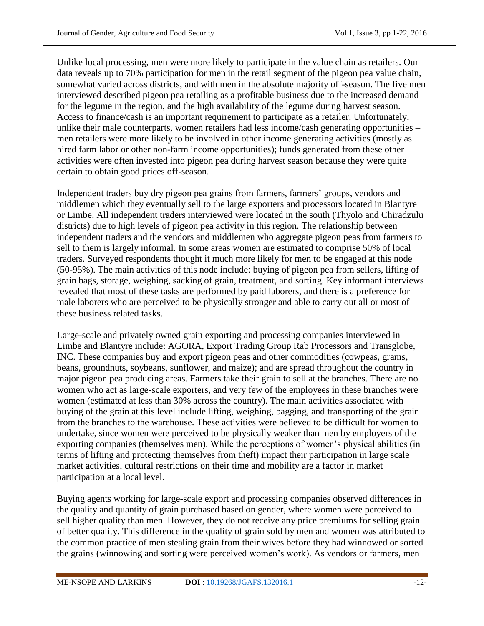Unlike local processing, men were more likely to participate in the value chain as retailers. Our data reveals up to 70% participation for men in the retail segment of the pigeon pea value chain, somewhat varied across districts, and with men in the absolute majority off-season. The five men interviewed described pigeon pea retailing as a profitable business due to the increased demand for the legume in the region, and the high availability of the legume during harvest season. Access to finance/cash is an important requirement to participate as a retailer. Unfortunately, unlike their male counterparts, women retailers had less income/cash generating opportunities – men retailers were more likely to be involved in other income generating activities (mostly as hired farm labor or other non-farm income opportunities); funds generated from these other activities were often invested into pigeon pea during harvest season because they were quite certain to obtain good prices off-season.

Independent traders buy dry pigeon pea grains from farmers, farmers' groups, vendors and middlemen which they eventually sell to the large exporters and processors located in Blantyre or Limbe. All independent traders interviewed were located in the south (Thyolo and Chiradzulu districts) due to high levels of pigeon pea activity in this region. The relationship between independent traders and the vendors and middlemen who aggregate pigeon peas from farmers to sell to them is largely informal. In some areas women are estimated to comprise 50% of local traders. Surveyed respondents thought it much more likely for men to be engaged at this node (50-95%). The main activities of this node include: buying of pigeon pea from sellers, lifting of grain bags, storage, weighing, sacking of grain, treatment, and sorting. Key informant interviews revealed that most of these tasks are performed by paid laborers, and there is a preference for male laborers who are perceived to be physically stronger and able to carry out all or most of these business related tasks.

Large-scale and privately owned grain exporting and processing companies interviewed in Limbe and Blantyre include: AGORA, Export Trading Group Rab Processors and Transglobe, INC. These companies buy and export pigeon peas and other commodities (cowpeas, grams, beans, groundnuts, soybeans, sunflower, and maize); and are spread throughout the country in major pigeon pea producing areas. Farmers take their grain to sell at the branches. There are no women who act as large-scale exporters, and very few of the employees in these branches were women (estimated at less than 30% across the country). The main activities associated with buying of the grain at this level include lifting, weighing, bagging, and transporting of the grain from the branches to the warehouse. These activities were believed to be difficult for women to undertake, since women were perceived to be physically weaker than men by employers of the exporting companies (themselves men). While the perceptions of women's physical abilities (in terms of lifting and protecting themselves from theft) impact their participation in large scale market activities, cultural restrictions on their time and mobility are a factor in market participation at a local level.

Buying agents working for large-scale export and processing companies observed differences in the quality and quantity of grain purchased based on gender, where women were perceived to sell higher quality than men. However, they do not receive any price premiums for selling grain of better quality. This difference in the quality of grain sold by men and women was attributed to the common practice of men stealing grain from their wives before they had winnowed or sorted the grains (winnowing and sorting were perceived women's work). As vendors or farmers, men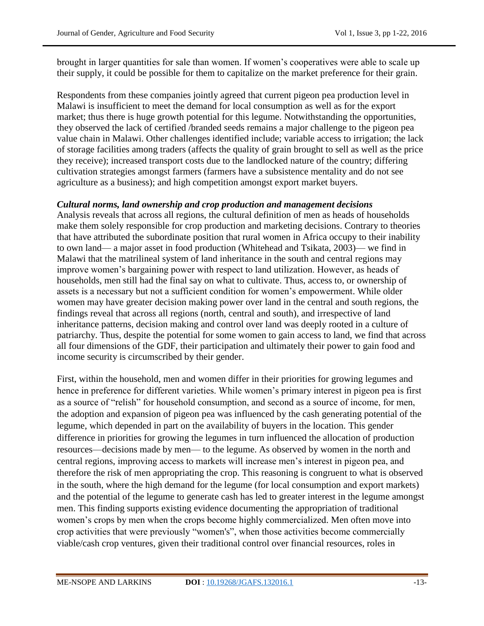brought in larger quantities for sale than women. If women's cooperatives were able to scale up their supply, it could be possible for them to capitalize on the market preference for their grain.

Respondents from these companies jointly agreed that current pigeon pea production level in Malawi is insufficient to meet the demand for local consumption as well as for the export market; thus there is huge growth potential for this legume. Notwithstanding the opportunities, they observed the lack of certified /branded seeds remains a major challenge to the pigeon pea value chain in Malawi. Other challenges identified include; variable access to irrigation; the lack of storage facilities among traders (affects the quality of grain brought to sell as well as the price they receive); increased transport costs due to the landlocked nature of the country; differing cultivation strategies amongst farmers (farmers have a subsistence mentality and do not see agriculture as a business); and high competition amongst export market buyers.

## *Cultural norms, land ownership and crop production and management decisions*

Analysis reveals that across all regions, the cultural definition of men as heads of households make them solely responsible for crop production and marketing decisions. Contrary to theories that have attributed the subordinate position that rural women in Africa occupy to their inability to own land— a major asset in food production (Whitehead and Tsikata, 2003)— we find in Malawi that the matrilineal system of land inheritance in the south and central regions may improve women's bargaining power with respect to land utilization. However, as heads of households, men still had the final say on what to cultivate. Thus, access to, or ownership of assets is a necessary but not a sufficient condition for women's empowerment. While older women may have greater decision making power over land in the central and south regions, the findings reveal that across all regions (north, central and south), and irrespective of land inheritance patterns, decision making and control over land was deeply rooted in a culture of patriarchy. Thus, despite the potential for some women to gain access to land, we find that across all four dimensions of the GDF, their participation and ultimately their power to gain food and income security is circumscribed by their gender.

First, within the household, men and women differ in their priorities for growing legumes and hence in preference for different varieties. While women's primary interest in pigeon pea is first as a source of "relish" for household consumption, and second as a source of income, for men, the adoption and expansion of pigeon pea was influenced by the cash generating potential of the legume, which depended in part on the availability of buyers in the location. This gender difference in priorities for growing the legumes in turn influenced the allocation of production resources—decisions made by men— to the legume. As observed by women in the north and central regions, improving access to markets will increase men's interest in pigeon pea, and therefore the risk of men appropriating the crop. This reasoning is congruent to what is observed in the south, where the high demand for the legume (for local consumption and export markets) and the potential of the legume to generate cash has led to greater interest in the legume amongst men. This finding supports existing evidence documenting the appropriation of traditional women's crops by men when the crops become highly commercialized. Men often move into crop activities that were previously "women's", when those activities become commercially viable/cash crop ventures, given their traditional control over financial resources, roles in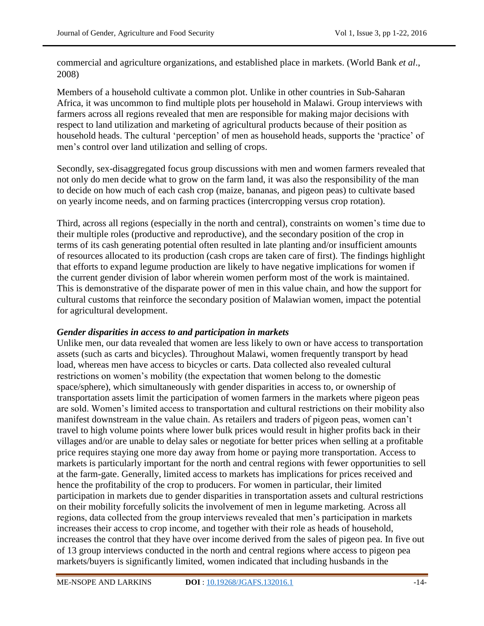commercial and agriculture organizations, and established place in markets. (World Bank *et al*., 2008)

Members of a household cultivate a common plot. Unlike in other countries in Sub-Saharan Africa, it was uncommon to find multiple plots per household in Malawi. Group interviews with farmers across all regions revealed that men are responsible for making major decisions with respect to land utilization and marketing of agricultural products because of their position as household heads. The cultural 'perception' of men as household heads, supports the 'practice' of men's control over land utilization and selling of crops.

Secondly, sex-disaggregated focus group discussions with men and women farmers revealed that not only do men decide what to grow on the farm land, it was also the responsibility of the man to decide on how much of each cash crop (maize, bananas, and pigeon peas) to cultivate based on yearly income needs, and on farming practices (intercropping versus crop rotation).

Third, across all regions (especially in the north and central), constraints on women's time due to their multiple roles (productive and reproductive), and the secondary position of the crop in terms of its cash generating potential often resulted in late planting and/or insufficient amounts of resources allocated to its production (cash crops are taken care of first). The findings highlight that efforts to expand legume production are likely to have negative implications for women if the current gender division of labor wherein women perform most of the work is maintained. This is demonstrative of the disparate power of men in this value chain, and how the support for cultural customs that reinforce the secondary position of Malawian women, impact the potential for agricultural development.

## *Gender disparities in access to and participation in markets*

Unlike men, our data revealed that women are less likely to own or have access to transportation assets (such as carts and bicycles). Throughout Malawi, women frequently transport by head load, whereas men have access to bicycles or carts. Data collected also revealed cultural restrictions on women's mobility (the expectation that women belong to the domestic space/sphere), which simultaneously with gender disparities in access to, or ownership of transportation assets limit the participation of women farmers in the markets where pigeon peas are sold. Women's limited access to transportation and cultural restrictions on their mobility also manifest downstream in the value chain. As retailers and traders of pigeon peas, women can't travel to high volume points where lower bulk prices would result in higher profits back in their villages and/or are unable to delay sales or negotiate for better prices when selling at a profitable price requires staying one more day away from home or paying more transportation. Access to markets is particularly important for the north and central regions with fewer opportunities to sell at the farm-gate. Generally, limited access to markets has implications for prices received and hence the profitability of the crop to producers. For women in particular, their limited participation in markets due to gender disparities in transportation assets and cultural restrictions on their mobility forcefully solicits the involvement of men in legume marketing. Across all regions, data collected from the group interviews revealed that men's participation in markets increases their access to crop income, and together with their role as heads of household, increases the control that they have over income derived from the sales of pigeon pea. In five out of 13 group interviews conducted in the north and central regions where access to pigeon pea markets/buyers is significantly limited, women indicated that including husbands in the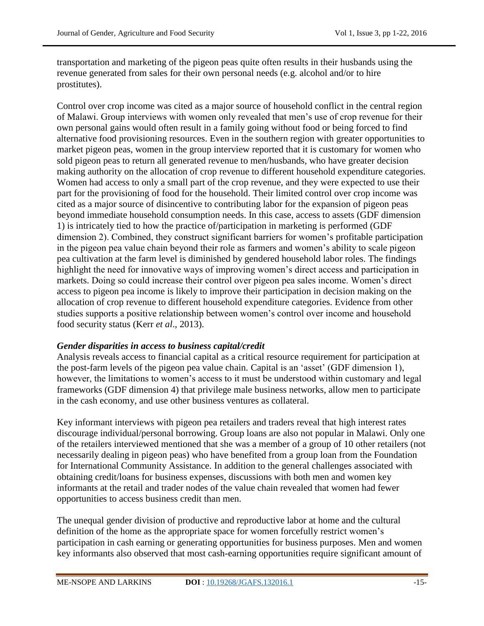transportation and marketing of the pigeon peas quite often results in their husbands using the revenue generated from sales for their own personal needs (e.g. alcohol and/or to hire prostitutes).

Control over crop income was cited as a major source of household conflict in the central region of Malawi. Group interviews with women only revealed that men's use of crop revenue for their own personal gains would often result in a family going without food or being forced to find alternative food provisioning resources. Even in the southern region with greater opportunities to market pigeon peas, women in the group interview reported that it is customary for women who sold pigeon peas to return all generated revenue to men/husbands, who have greater decision making authority on the allocation of crop revenue to different household expenditure categories. Women had access to only a small part of the crop revenue, and they were expected to use their part for the provisioning of food for the household. Their limited control over crop income was cited as a major source of disincentive to contributing labor for the expansion of pigeon peas beyond immediate household consumption needs. In this case, access to assets (GDF dimension 1) is intricately tied to how the practice of/participation in marketing is performed (GDF dimension 2). Combined, they construct significant barriers for women's profitable participation in the pigeon pea value chain beyond their role as farmers and women's ability to scale pigeon pea cultivation at the farm level is diminished by gendered household labor roles. The findings highlight the need for innovative ways of improving women's direct access and participation in markets. Doing so could increase their control over pigeon pea sales income. Women's direct access to pigeon pea income is likely to improve their participation in decision making on the allocation of crop revenue to different household expenditure categories. Evidence from other studies supports a positive relationship between women's control over income and household food security status (Kerr *et al*., 2013).

## *Gender disparities in access to business capital/credit*

Analysis reveals access to financial capital as a critical resource requirement for participation at the post-farm levels of the pigeon pea value chain. Capital is an 'asset' (GDF dimension 1), however, the limitations to women's access to it must be understood within customary and legal frameworks (GDF dimension 4) that privilege male business networks, allow men to participate in the cash economy, and use other business ventures as collateral.

Key informant interviews with pigeon pea retailers and traders reveal that high interest rates discourage individual/personal borrowing. Group loans are also not popular in Malawi. Only one of the retailers interviewed mentioned that she was a member of a group of 10 other retailers (not necessarily dealing in pigeon peas) who have benefited from a group loan from the Foundation for International Community Assistance. In addition to the general challenges associated with obtaining credit/loans for business expenses, discussions with both men and women key informants at the retail and trader nodes of the value chain revealed that women had fewer opportunities to access business credit than men.

The unequal gender division of productive and reproductive labor at home and the cultural definition of the home as the appropriate space for women forcefully restrict women's participation in cash earning or generating opportunities for business purposes. Men and women key informants also observed that most cash-earning opportunities require significant amount of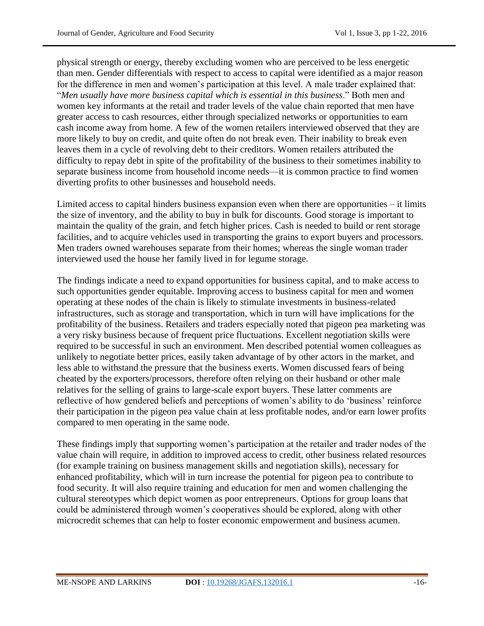physical strength or energy, thereby excluding women who are perceived to be less energetic than men. Gender differentials with respect to access to capital were identified as a major reason for the difference in men and women's participation at this level. A male trader explained that: ―*Men usually have more business capital which is essential in this business*.‖ Both men and women key informants at the retail and trader levels of the value chain reported that men have greater access to cash resources, either through specialized networks or opportunities to earn cash income away from home. A few of the women retailers interviewed observed that they are more likely to buy on credit, and quite often do not break even. Their inability to break even leaves them in a cycle of revolving debt to their creditors. Women retailers attributed the difficulty to repay debt in spite of the profitability of the business to their sometimes inability to separate business income from household income needs—it is common practice to find women diverting profits to other businesses and household needs.

Limited access to capital hinders business expansion even when there are opportunities – it limits the size of inventory, and the ability to buy in bulk for discounts. Good storage is important to maintain the quality of the grain, and fetch higher prices. Cash is needed to build or rent storage facilities, and to acquire vehicles used in transporting the grains to export buyers and processors. Men traders owned warehouses separate from their homes; whereas the single woman trader interviewed used the house her family lived in for legume storage.

The findings indicate a need to expand opportunities for business capital, and to make access to such opportunities gender equitable. Improving access to business capital for men and women operating at these nodes of the chain is likely to stimulate investments in business-related infrastructures, such as storage and transportation, which in turn will have implications for the profitability of the business. Retailers and traders especially noted that pigeon pea marketing was a very risky business because of frequent price fluctuations. Excellent negotiation skills were required to be successful in such an environment. Men described potential women colleagues as unlikely to negotiate better prices, easily taken advantage of by other actors in the market, and less able to withstand the pressure that the business exerts. Women discussed fears of being cheated by the exporters/processors, therefore often relying on their husband or other male relatives for the selling of grains to large-scale export buyers. These latter comments are reflective of how gendered beliefs and perceptions of women's ability to do 'business' reinforce their participation in the pigeon pea value chain at less profitable nodes, and/or earn lower profits compared to men operating in the same node.

These findings imply that supporting women's participation at the retailer and trader nodes of the value chain will require, in addition to improved access to credit, other business related resources (for example training on business management skills and negotiation skills), necessary for enhanced profitability, which will in turn increase the potential for pigeon pea to contribute to food security. It will also require training and education for men and women challenging the cultural stereotypes which depict women as poor entrepreneurs. Options for group loans that could be administered through women's cooperatives should be explored, along with other microcredit schemes that can help to foster economic empowerment and business acumen.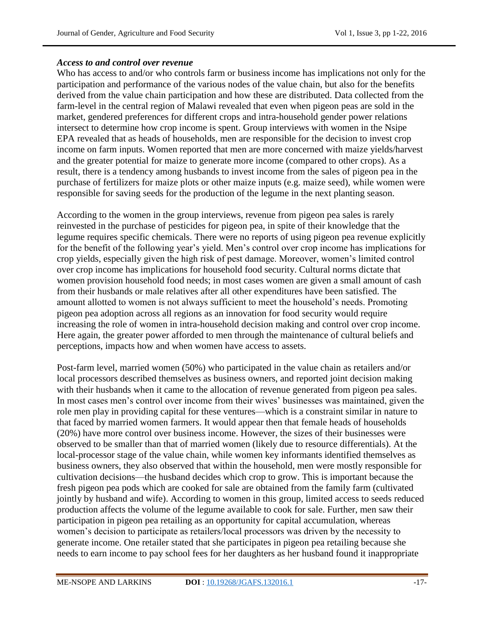## *Access to and control over revenue*

Who has access to and/or who controls farm or business income has implications not only for the participation and performance of the various nodes of the value chain, but also for the benefits derived from the value chain participation and how these are distributed. Data collected from the farm-level in the central region of Malawi revealed that even when pigeon peas are sold in the market, gendered preferences for different crops and intra-household gender power relations intersect to determine how crop income is spent. Group interviews with women in the Nsipe EPA revealed that as heads of households, men are responsible for the decision to invest crop income on farm inputs. Women reported that men are more concerned with maize yields/harvest and the greater potential for maize to generate more income (compared to other crops). As a result, there is a tendency among husbands to invest income from the sales of pigeon pea in the purchase of fertilizers for maize plots or other maize inputs (e.g. maize seed), while women were responsible for saving seeds for the production of the legume in the next planting season.

According to the women in the group interviews, revenue from pigeon pea sales is rarely reinvested in the purchase of pesticides for pigeon pea, in spite of their knowledge that the legume requires specific chemicals. There were no reports of using pigeon pea revenue explicitly for the benefit of the following year's yield. Men's control over crop income has implications for crop yields, especially given the high risk of pest damage. Moreover, women's limited control over crop income has implications for household food security. Cultural norms dictate that women provision household food needs; in most cases women are given a small amount of cash from their husbands or male relatives after all other expenditures have been satisfied. The amount allotted to women is not always sufficient to meet the household's needs. Promoting pigeon pea adoption across all regions as an innovation for food security would require increasing the role of women in intra-household decision making and control over crop income. Here again, the greater power afforded to men through the maintenance of cultural beliefs and perceptions, impacts how and when women have access to assets.

Post-farm level, married women (50%) who participated in the value chain as retailers and/or local processors described themselves as business owners, and reported joint decision making with their husbands when it came to the allocation of revenue generated from pigeon pea sales. In most cases men's control over income from their wives' businesses was maintained, given the role men play in providing capital for these ventures—which is a constraint similar in nature to that faced by married women farmers. It would appear then that female heads of households (20%) have more control over business income. However, the sizes of their businesses were observed to be smaller than that of married women (likely due to resource differentials). At the local-processor stage of the value chain, while women key informants identified themselves as business owners, they also observed that within the household, men were mostly responsible for cultivation decisions—the husband decides which crop to grow. This is important because the fresh pigeon pea pods which are cooked for sale are obtained from the family farm (cultivated jointly by husband and wife). According to women in this group, limited access to seeds reduced production affects the volume of the legume available to cook for sale. Further, men saw their participation in pigeon pea retailing as an opportunity for capital accumulation, whereas women's decision to participate as retailers/local processors was driven by the necessity to generate income. One retailer stated that she participates in pigeon pea retailing because she needs to earn income to pay school fees for her daughters as her husband found it inappropriate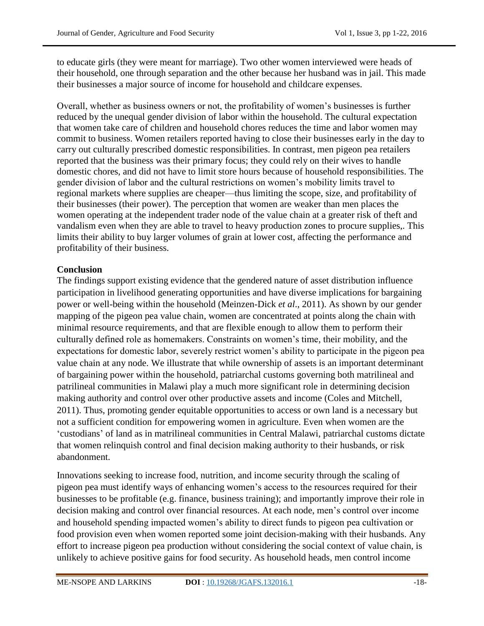to educate girls (they were meant for marriage). Two other women interviewed were heads of their household, one through separation and the other because her husband was in jail. This made their businesses a major source of income for household and childcare expenses.

Overall, whether as business owners or not, the profitability of women's businesses is further reduced by the unequal gender division of labor within the household. The cultural expectation that women take care of children and household chores reduces the time and labor women may commit to business. Women retailers reported having to close their businesses early in the day to carry out culturally prescribed domestic responsibilities. In contrast, men pigeon pea retailers reported that the business was their primary focus; they could rely on their wives to handle domestic chores, and did not have to limit store hours because of household responsibilities. The gender division of labor and the cultural restrictions on women's mobility limits travel to regional markets where supplies are cheaper—thus limiting the scope, size, and profitability of their businesses (their power). The perception that women are weaker than men places the women operating at the independent trader node of the value chain at a greater risk of theft and vandalism even when they are able to travel to heavy production zones to procure supplies,. This limits their ability to buy larger volumes of grain at lower cost, affecting the performance and profitability of their business.

# **Conclusion**

The findings support existing evidence that the gendered nature of asset distribution influence participation in livelihood generating opportunities and have diverse implications for bargaining power or well-being within the household (Meinzen-Dick *et al*., 2011). As shown by our gender mapping of the pigeon pea value chain, women are concentrated at points along the chain with minimal resource requirements, and that are flexible enough to allow them to perform their culturally defined role as homemakers. Constraints on women's time, their mobility, and the expectations for domestic labor, severely restrict women's ability to participate in the pigeon pea value chain at any node. We illustrate that while ownership of assets is an important determinant of bargaining power within the household, patriarchal customs governing both matrilineal and patrilineal communities in Malawi play a much more significant role in determining decision making authority and control over other productive assets and income (Coles and Mitchell, 2011). Thus, promoting gender equitable opportunities to access or own land is a necessary but not a sufficient condition for empowering women in agriculture. Even when women are the ‗custodians' of land as in matrilineal communities in Central Malawi, patriarchal customs dictate that women relinquish control and final decision making authority to their husbands, or risk abandonment.

Innovations seeking to increase food, nutrition, and income security through the scaling of pigeon pea must identify ways of enhancing women's access to the resources required for their businesses to be profitable (e.g. finance, business training); and importantly improve their role in decision making and control over financial resources. At each node, men's control over income and household spending impacted women's ability to direct funds to pigeon pea cultivation or food provision even when women reported some joint decision-making with their husbands. Any effort to increase pigeon pea production without considering the social context of value chain, is unlikely to achieve positive gains for food security. As household heads, men control income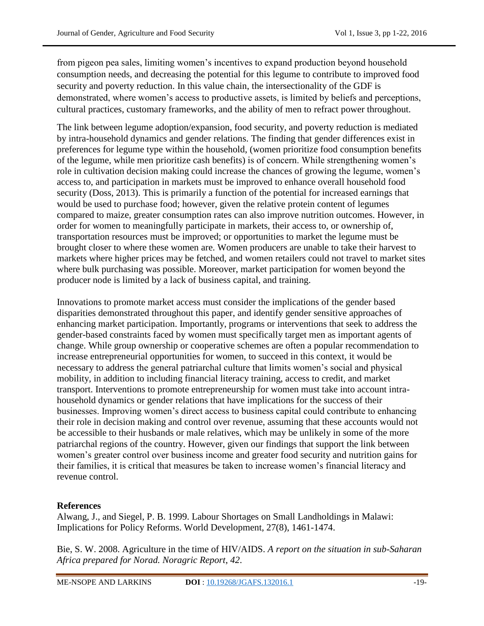from pigeon pea sales, limiting women's incentives to expand production beyond household consumption needs, and decreasing the potential for this legume to contribute to improved food security and poverty reduction. In this value chain, the intersectionality of the GDF is demonstrated, where women's access to productive assets, is limited by beliefs and perceptions, cultural practices, customary frameworks, and the ability of men to refract power throughout.

The link between legume adoption/expansion, food security, and poverty reduction is mediated by intra-household dynamics and gender relations. The finding that gender differences exist in preferences for legume type within the household, (women prioritize food consumption benefits of the legume, while men prioritize cash benefits) is of concern. While strengthening women's role in cultivation decision making could increase the chances of growing the legume, women's access to, and participation in markets must be improved to enhance overall household food security (Doss, 2013). This is primarily a function of the potential for increased earnings that would be used to purchase food; however, given the relative protein content of legumes compared to maize, greater consumption rates can also improve nutrition outcomes. However, in order for women to meaningfully participate in markets, their access to, or ownership of, transportation resources must be improved; or opportunities to market the legume must be brought closer to where these women are. Women producers are unable to take their harvest to markets where higher prices may be fetched, and women retailers could not travel to market sites where bulk purchasing was possible. Moreover, market participation for women beyond the producer node is limited by a lack of business capital, and training.

Innovations to promote market access must consider the implications of the gender based disparities demonstrated throughout this paper, and identify gender sensitive approaches of enhancing market participation. Importantly, programs or interventions that seek to address the gender-based constraints faced by women must specifically target men as important agents of change. While group ownership or cooperative schemes are often a popular recommendation to increase entrepreneurial opportunities for women, to succeed in this context, it would be necessary to address the general patriarchal culture that limits women's social and physical mobility, in addition to including financial literacy training, access to credit, and market transport. Interventions to promote entrepreneurship for women must take into account intrahousehold dynamics or gender relations that have implications for the success of their businesses. Improving women's direct access to business capital could contribute to enhancing their role in decision making and control over revenue, assuming that these accounts would not be accessible to their husbands or male relatives, which may be unlikely in some of the more patriarchal regions of the country. However, given our findings that support the link between women's greater control over business income and greater food security and nutrition gains for their families, it is critical that measures be taken to increase women's financial literacy and revenue control.

## **References**

Alwang, J., and Siegel, P. B. 1999. Labour Shortages on Small Landholdings in Malawi: Implications for Policy Reforms. World Development, 27(8), 1461-1474.

Bie, S. W. 2008. Agriculture in the time of HIV/AIDS. *A report on the situation in sub-Saharan Africa prepared for Norad. Noragric Report*, *42*.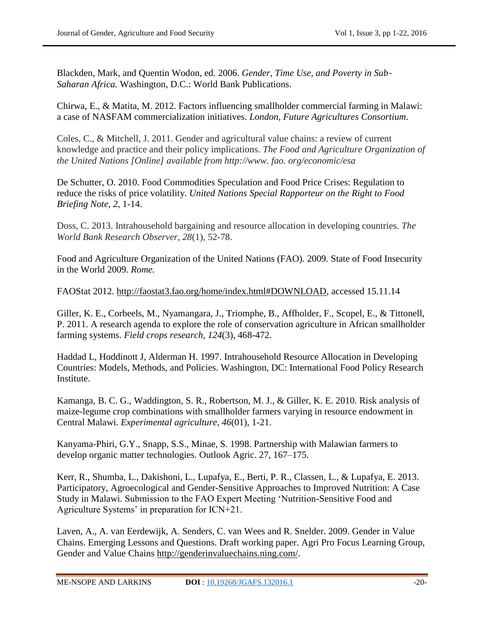Blackden, Mark, and Quentin Wodon, ed. 2006. *Gender, Time Use, and Poverty in Sub-Saharan Africa.* Washington, D.C.: World Bank Publications.

Chirwa, E., & Matita, M. 2012. Factors influencing smallholder commercial farming in Malawi: a case of NASFAM commercialization initiatives. *London, Future Agricultures Consortium*.

Coles, C., & Mitchell, J. 2011. Gender and agricultural value chains: a review of current knowledge and practice and their policy implications. *The Food and Agriculture Organization of the United Nations [Online] available from http://www. fao. org/economic/esa* 

De Schutter, O. 2010. Food Commodities Speculation and Food Price Crises: Regulation to reduce the risks of price volatility. *United Nations Special Rapporteur on the Right to Food Briefing Note*, *2*, 1-14.

Doss, C. 2013. Intrahousehold bargaining and resource allocation in developing countries. *The World Bank Research Observer*, *28*(1), 52-78.

Food and Agriculture Organization of the United Nations (FAO). 2009. State of Food Insecurity in the World 2009. *Rome.*

FAOStat 2012. [http://faostat3.fao.org/home/index.html#DOWNLOAD,](http://faostat3.fao.org/home/index.html#DOWNLOAD) accessed 15.11.14

Giller, K. E., Corbeels, M., Nyamangara, J., Triomphe, B., Affholder, F., Scopel, E., & Tittonell, P. 2011. A research agenda to explore the role of conservation agriculture in African smallholder farming systems. *Field crops research*, *124*(3), 468-472.

Haddad L, Hoddinott J, Alderman H. 1997. Intrahousehold Resource Allocation in Developing Countries: Models, Methods, and Policies. Washington, DC: International Food Policy Research Institute.

Kamanga, B. C. G., Waddington, S. R., Robertson, M. J., & Giller, K. E. 2010. Risk analysis of maize-legume crop combinations with smallholder farmers varying in resource endowment in Central Malawi. *Experimental agriculture*, *46*(01), 1-21.

Kanyama-Phiri, G.Y., Snapp, S.S., Minae, S. 1998. Partnership with Malawian farmers to develop organic matter technologies. Outlook Agric. 27, 167–175.

Kerr, R., Shumba, L., Dakishoni, L., Lupafya, E., Berti, P. R., Classen, L., & Lupafya, E. 2013. Participatory, Agroecological and Gender-Sensitive Approaches to Improved Nutrition: A Case Study in Malawi. Submission to the FAO Expert Meeting 'Nutrition-Sensitive Food and Agriculture Systems' in preparation for ICN+21.

Laven, A., A. van Eerdewijk, A. Senders, C. van Wees and R. Snelder. 2009. Gender in Value Chains. Emerging Lessons and Questions. Draft working paper. Agri Pro Focus Learning Group, Gender and Value Chains http://genderinvaluechains.ning.com/.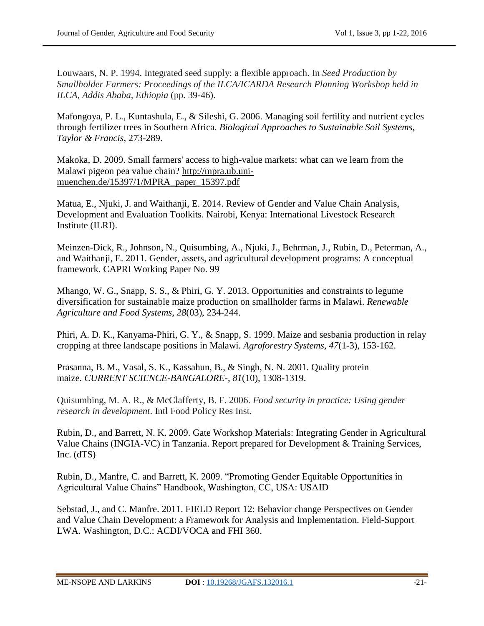Louwaars, N. P. 1994. Integrated seed supply: a flexible approach. In *Seed Production by Smallholder Farmers: Proceedings of the ILCA/ICARDA Research Planning Workshop held in ILCA, Addis Ababa, Ethiopia* (pp. 39-46).

Mafongoya, P. L., Kuntashula, E., & Sileshi, G. 2006. Managing soil fertility and nutrient cycles through fertilizer trees in Southern Africa. *Biological Approaches to Sustainable Soil Systems, Taylor & Francis*, 273-289.

Makoka, D. 2009. Small farmers' access to high-value markets: what can we learn from the Malawi pigeon pea value chain? [http://mpra.ub.uni](http://mpra.ub.uni-muenchen.de/15397/1/MPRA_paper_15397.pdf)[muenchen.de/15397/1/MPRA\\_paper\\_15397.pdf](http://mpra.ub.uni-muenchen.de/15397/1/MPRA_paper_15397.pdf)

Matua, E., Njuki, J. and Waithanji, E. 2014. Review of Gender and Value Chain Analysis, Development and Evaluation Toolkits. Nairobi, Kenya: International Livestock Research Institute (ILRI).

Meinzen-Dick, R., Johnson, N., Quisumbing, A., Njuki, J., Behrman, J., Rubin, D., Peterman, A., and Waithanji, E. 2011. Gender, assets, and agricultural development programs: A conceptual framework. CAPRI Working Paper No. 99

Mhango, W. G., Snapp, S. S., & Phiri, G. Y. 2013. Opportunities and constraints to legume diversification for sustainable maize production on smallholder farms in Malawi. *Renewable Agriculture and Food Systems*, *28*(03), 234-244.

Phiri, A. D. K., Kanyama-Phiri, G. Y., & Snapp, S. 1999. Maize and sesbania production in relay cropping at three landscape positions in Malawi. *Agroforestry Systems*, *47*(1-3), 153-162.

Prasanna, B. M., Vasal, S. K., Kassahun, B., & Singh, N. N. 2001. Quality protein maize. *CURRENT SCIENCE-BANGALORE-*, *81*(10), 1308-1319.

Quisumbing, M. A. R., & McClafferty, B. F. 2006. *Food security in practice: Using gender research in development*. Intl Food Policy Res Inst.

Rubin, D., and Barrett, N. K. 2009. Gate Workshop Materials: Integrating Gender in Agricultural Value Chains (INGIA-VC) in Tanzania. Report prepared for Development & Training Services, Inc. (dTS)

Rubin, D., Manfre, C. and Barrett, K. 2009. "Promoting Gender Equitable Opportunities in Agricultural Value Chains" Handbook, Washington, CC, USA: USAID

Sebstad, J., and C. Manfre. 2011. FIELD Report 12: Behavior change Perspectives on Gender and Value Chain Development: a Framework for Analysis and Implementation. Field-Support LWA. Washington, D.C.: ACDI/VOCA and FHI 360.